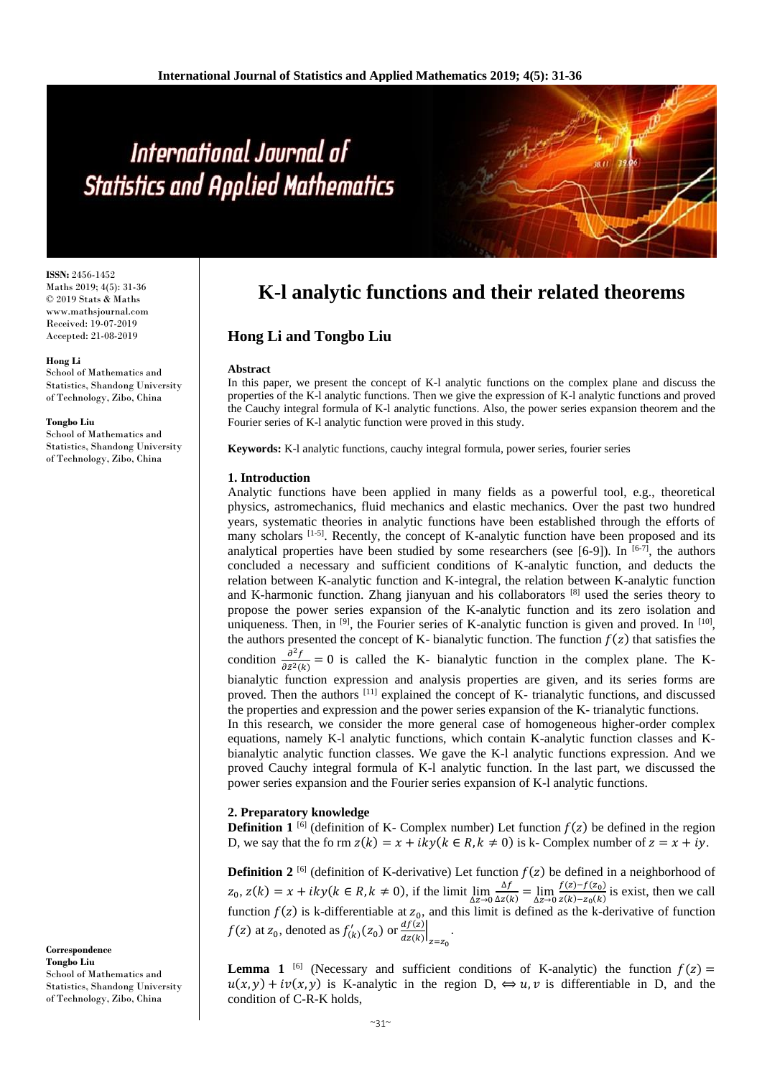# International Journal of **Statistics and Applied Mathematics**

**ISSN:** 2456-1452 Maths 2019; 4(5): 31-36 © 2019 Stats & Maths www.mathsjournal.com Received: 19-07-2019 Accepted: 21-08-2019

#### **Hong Li**

School of Mathematics and Statistics, Shandong University of Technology, Zibo, China

#### **Tongbo Liu**

School of Mathematics and Statistics, Shandong University of Technology, Zibo, China

#### **Correspondence Tongbo Liu** School of Mathematics and Statistics, Shandong University of Technology, Zibo, China

# **K-l analytic functions and their related theorems**

# **Hong Li and Tongbo Liu**

### **Abstract**

In this paper, we present the concept of K-l analytic functions on the complex plane and discuss the properties of the K-l analytic functions. Then we give the expression of K-l analytic functions and proved the Cauchy integral formula of K-l analytic functions. Also, the power series expansion theorem and the Fourier series of K-l analytic function were proved in this study.

**Keywords:** K-l analytic functions, cauchy integral formula, power series, fourier series

#### **1. Introduction**

Analytic functions have been applied in many fields as a powerful tool, e.g., theoretical physics, astromechanics, fluid mechanics and elastic mechanics. Over the past two hundred years, systematic theories in analytic functions have been established through the efforts of many scholars  $[1-5]$ . Recently, the concept of K-analytic function have been proposed and its analytical properties have been studied by some researchers (see [6-9]). In  $[6-7]$ , the authors concluded a necessary and sufficient conditions of K-analytic function, and deducts the relation between K-analytic function and K-integral, the relation between K-analytic function and K-harmonic function. Zhang jianyuan and his collaborators [8] used the series theory to propose the power series expansion of the K-analytic function and its zero isolation and uniqueness. Then, in  $[9]$ , the Fourier series of K-analytic function is given and proved. In  $[10]$ , the authors presented the concept of K- bianalytic function. The function  $f(z)$  that satisfies the condition  $\frac{\partial^2 f}{\partial z^2}$  $\frac{\partial^2 f}{\partial \bar{z}^2(k)} = 0$  is called the K- bianalytic function in the complex plane. The Kbianalytic function expression and analysis properties are given, and its series forms are proved. Then the authors <sup>[11]</sup> explained the concept of K- trianalytic functions, and discussed the properties and expression and the power series expansion of the K- trianalytic functions. In this research, we consider the more general case of homogeneous higher-order complex

equations, namely K-l analytic functions, which contain K-analytic function classes and Kbianalytic analytic function classes. We gave the K-l analytic functions expression. And we proved Cauchy integral formula of K-l analytic function. In the last part, we discussed the power series expansion and the Fourier series expansion of K-l analytic functions.

## **2. Preparatory knowledge**

**Definition 1** [6] (definition of K- Complex number) Let function  $f(z)$  be defined in the region D, we say that the form  $z(k) = x + iky(k \in R, k \neq 0)$  is k- Complex number of  $z = x + iy$ .

**Definition 2** <sup>[6]</sup> (definition of K-derivative) Let function  $f(z)$  be defined in a neighborhood of  $z_0$ ,  $z(k) = x + iky(k \in R, k \neq 0)$ , if the limit  $\lim_{\Delta z \to 0}$ ∆  $\frac{\Delta f}{\Delta z(k)} = \lim_{\Delta z \to 0}$  $f(z)-f(z_0)$  $\frac{f(z)-f(z_0)}{g(k)-z_0(k)}$  is exist, then we call function  $f(z)$  is k-differentiable at  $z_0$ , and this limit is defined as the k-derivative of function  $f(z)$  at  $z_0$ , denoted as  $f'_{(k)}(z_0)$  or  $\frac{df(z)}{dz(k)}$  $\left| \frac{a_j(z)}{dz(k)} \right|$  $z = z_0$ .

**Lemma 1** <sup>[6]</sup> (Necessary and sufficient conditions of K-analytic) the function  $f(z)$  =  $u(x, y) + iv(x, y)$  is K-analytic in the region D,  $\Leftrightarrow u, v$  is differentiable in D, and the condition of C-R-K holds,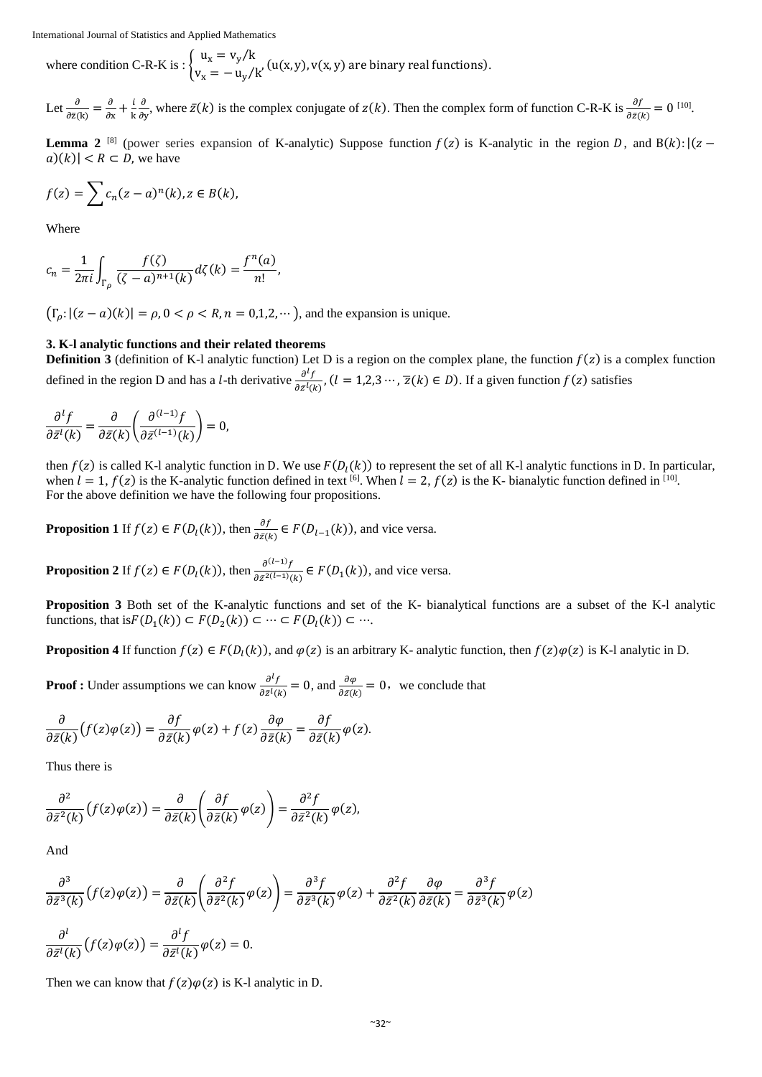where condition C-R-K is :  $\begin{cases} u_x = v_y/k \\ u_y = v_y/k \end{cases}$  $v_x = -\frac{v_y}{x}$  (u(x, y), v(x, y) are binary real functions).

Let  $\frac{\partial}{\partial \bar{z}(k)} = \frac{\partial}{\partial z}$  $\frac{\partial}{\partial x} + \frac{i}{k}$ k ∂  $\frac{\partial}{\partial y}$ , where  $\bar{z}(k)$  is the complex conjugate of  $z(k)$ . Then the complex form of function C-R-K is  $\frac{\partial f}{\partial \bar{z}(k)} = 0$  [10].

**Lemma 2** [8] (power series expansion of K-analytic) Suppose function  $f(z)$  is K-analytic in the region D, and  $B(k):(z$  $a)(k)$  <  $R \subset D$ , we have

$$
f(z) = \sum c_n (z - a)^n (k), z \in B(k),
$$

Where

$$
c_n = \frac{1}{2\pi i} \int_{\Gamma_\rho} \frac{f(\zeta)}{(\zeta - a)^{n+1}(k)} d\zeta(k) = \frac{f^n(a)}{n!},
$$

 $(\Gamma_{\rho}: |(z-a)(k)| = \rho, 0 < \rho < R, n = 0,1,2,...)$ , and the expansion is unique.

# **3. K-l analytic functions and their related theorems**

**Definition 3** (definition of K-l analytic function) Let D is a region on the complex plane, the function  $f(z)$  is a complex function defined in the region D and has a *l*-th derivative  $\frac{\partial^l f}{\partial z^l}$  $\frac{\partial^2 f}{\partial \bar{z}^l(k)}$ ,  $(l = 1,2,3 \cdots, \bar{z}(k) \in D)$ . If a given function  $f(z)$  satisfies

$$
\frac{\partial^l f}{\partial \bar{z}^l(k)} = \frac{\partial}{\partial \bar{z}(k)} \left( \frac{\partial^{(l-1)} f}{\partial \bar{z}^{(l-1)}(k)} \right) = 0,
$$

then  $f(z)$  is called K-l analytic function in D. We use  $F(D_l(k))$  to represent the set of all K-l analytic functions in D. In particular, when  $l = 1$ ,  $f(z)$  is the K-analytic function defined in text <sup>[6]</sup>. When  $l = 2$ ,  $f(z)$  is the K- bianalytic function defined in [10]. For the above definition we have the following four propositions.

**Proposition 1** If  $f(z) \in F(D_l(k))$ , then  $\frac{\partial f}{\partial \bar{z}(k)} \in F(D_{l-1}(k))$ , and vice versa.

**Proposition 2** If  $f(z) \in F(D_l(k))$ , then  $\frac{\partial^{(l-1)}f}{\partial z^2}$  $\frac{\partial^{(k-1)}}{\partial \bar{z}^{2(l-1)}(k)} \in F(D_1(k))$ , and vice versa.

**Proposition 3** Both set of the K-analytic functions and set of the K- bianalytical functions are a subset of the K-l analytic functions, that is $F(D_1(k)) \subset F(D_2(k)) \subset \cdots \subset F(D_l(k)) \subset \cdots$ .

**Proposition 4** If function  $f(z) \in F(D_1(k))$ , and  $\varphi(z)$  is an arbitrary K- analytic function, then  $f(z)\varphi(z)$  is K-l analytic in D.

**Proof :** Under assumptions we can know  $\frac{\partial^l f}{\partial s^l}$  $\frac{\partial^l f}{\partial \bar{z}^l(k)} = 0$ , and  $\frac{\partial \varphi}{\partial \bar{z}(k)} = 0$ , we conclude that

$$
\frac{\partial}{\partial \bar{z}(k)}\big(f(z)\varphi(z)\big) = \frac{\partial f}{\partial \bar{z}(k)}\varphi(z) + f(z)\frac{\partial \varphi}{\partial \bar{z}(k)} = \frac{\partial f}{\partial \bar{z}(k)}\varphi(z).
$$

Thus there is

$$
\frac{\partial^2}{\partial \bar{z}^2(k)}\big(f(z)\varphi(z)\big) = \frac{\partial}{\partial \bar{z}(k)}\left(\frac{\partial f}{\partial \bar{z}(k)}\varphi(z)\right) = \frac{\partial^2 f}{\partial \bar{z}^2(k)}\varphi(z),
$$

And

$$
\frac{\partial^3}{\partial \bar{z}^3(k)}(f(z)\varphi(z)) = \frac{\partial}{\partial \bar{z}(k)}\left(\frac{\partial^2 f}{\partial \bar{z}^2(k)}\varphi(z)\right) = \frac{\partial^3 f}{\partial \bar{z}^3(k)}\varphi(z) + \frac{\partial^2 f}{\partial \bar{z}^2(k)}\frac{\partial \varphi}{\partial \bar{z}(k)} = \frac{\partial^3 f}{\partial \bar{z}^3(k)}\varphi(z)
$$
\n
$$
\frac{\partial^l}{\partial \bar{z}^l(k)}(f(z)\varphi(z)) = \frac{\partial^l f}{\partial \bar{z}^l(k)}\varphi(z) = 0.
$$

Then we can know that  $f(z)\varphi(z)$  is K-l analytic in D.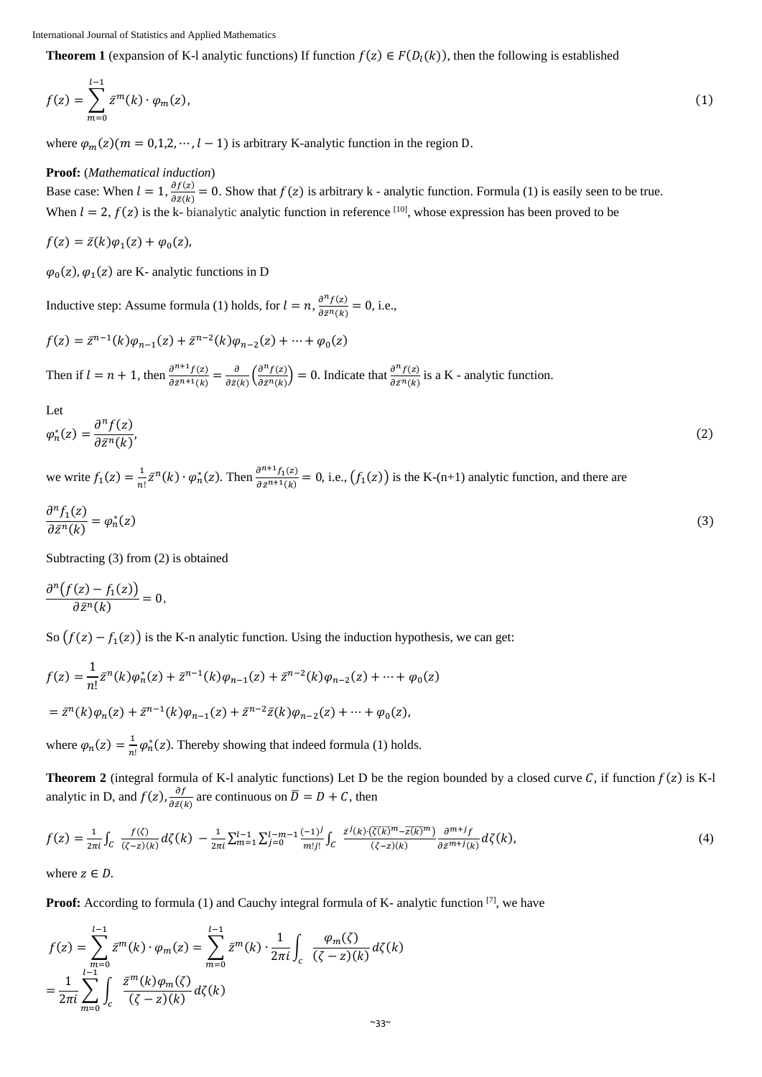**Theorem 1** (expansion of K-l analytic functions) If function  $f(z) \in F(D<sub>1</sub>(k))$ , then the following is established

$$
f(z) = \sum_{m=0}^{l-1} \bar{z}^m(k) \cdot \varphi_m(z),
$$
 (1)

where  $\varphi_m(z)(m = 0,1,2,\dots, l-1)$  is arbitrary K-analytic function in the region D.

### **Proof:** (*Mathematical induction*)

Base case: When  $l = 1$ ,  $\frac{\partial f(z)}{\partial z (l)}$  $\frac{\partial f(z)}{\partial \bar{z}(k)} = 0$ . Show that  $f(z)$  is arbitrary k - analytic function. Formula (1) is easily seen to be true. When  $l = 2$ ,  $f(z)$  is the k- bianalytic analytic function in reference [10], whose expression has been proved to be

$$
f(z) = \bar{z}(k)\varphi_1(z) + \varphi_0(z),
$$

 $\varphi_0(z)$ ,  $\varphi_1(z)$  are K- analytic functions in D

Inductive step: Assume formula (1) holds, for  $l = n$ ,  $\frac{\partial^{n} f(z)}{\partial z \partial x}$  $\frac{\partial f(z)}{\partial \bar{z}^n(k)} = 0$ , i.e.,

$$
f(z) = \bar{z}^{n-1}(k)\varphi_{n-1}(z) + \bar{z}^{n-2}(k)\varphi_{n-2}(z) + \dots + \varphi_0(z)
$$

Then if  $l = n + 1$ , then  $\frac{\partial^{n+1} f(z)}{\partial z^n}$  $\frac{\partial^{n+1} f(z)}{\partial \bar{z}^{n+1}(k)} = \frac{\partial}{\partial \bar{z}(k)}$  $\frac{\partial}{\partial \bar{z}(k)} \left( \frac{\partial^n f(z)}{\partial \bar{z}^n(k)} \right)$  $\left(\frac{\partial^n f(z)}{\partial \bar{z}^n(k)}\right) = 0$ . Indicate that  $\frac{\partial^n f(z)}{\partial \bar{z}^n(k)}$  $\frac{\partial f(z)}{\partial \bar{z}^n(k)}$  is a K - analytic function.

Let  
\n
$$
\varphi_n^*(z) = \frac{\partial^n f(z)}{\partial \bar{z}^n(k)},
$$
\n(2)

we write  $f_1(z) = \frac{1}{n}$  $\frac{1}{n!}\bar{z}^n(k)\cdot\varphi_n^*(z)$ . Then  $\frac{\partial^{n+1}f_1(z)}{\partial \bar{z}^{n+1}(k)}$  $\frac{\partial^{n+1} I_1(z)}{\partial \bar{z}^{n+1}(k)} = 0$ , i.e.,  $\big(f_1(z)\big)$  is the K-(n+1) analytic function, and there are

$$
\frac{\partial^n f_1(z)}{\partial \bar{z}^n(k)} = \varphi_n^*(z) \tag{3}
$$

Subtracting (3) from (2) is obtained

$$
\frac{\partial^n\big(f(z)-f_1(z)\big)}{\partial \bar{z}^n(k)}=0,
$$

So  $(f(z) - f_1(z))$  is the K-n analytic function. Using the induction hypothesis, we can get:

$$
f(z) = \frac{1}{n!} \bar{z}^n(k)\varphi_n^*(z) + \bar{z}^{n-1}(k)\varphi_{n-1}(z) + \bar{z}^{n-2}(k)\varphi_{n-2}(z) + \dots + \varphi_0(z)
$$
  
=  $\bar{z}^n(k)\varphi_n(z) + \bar{z}^{n-1}(k)\varphi_{n-1}(z) + \bar{z}^{n-2}\bar{z}(k)\varphi_{n-2}(z) + \dots + \varphi_0(z),$ 

where  $\varphi_n(z) = \frac{1}{n}$  $\frac{1}{n!} \varphi_n^*(z)$ . Thereby showing that indeed formula (1) holds.

**Theorem 2** (integral formula of K-l analytic functions) Let D be the region bounded by a closed curve C, if function  $f(z)$  is K-l analytic in D, and  $f(z)$ ,  $\frac{\partial f}{\partial z}$  $\frac{\partial f}{\partial \bar{z}(k)}$  are continuous on  $\bar{D} = D + C$ , then

$$
f(z) = \frac{1}{2\pi i} \int_C \frac{f(\zeta)}{(\zeta - z)(k)} d\zeta(k) - \frac{1}{2\pi i} \sum_{m=1}^{l-1} \sum_{j=0}^{l-m-1} \frac{(-1)^j}{m!j!} \int_C \frac{\bar{z}^j(k) \cdot (\overline{\zeta(k)}^m - \overline{z(k)}^m)}{(\zeta - z)(k)} \frac{\partial^{m+j}f}{\partial \bar{z}^{m+j}(k)} d\zeta(k),\tag{4}
$$

where  $z \in D$ .

**Proof:** According to formula (1) and Cauchy integral formula of K- analytic function <sup>[7]</sup>, we have

$$
f(z) = \sum_{m=0}^{l-1} \bar{z}^{m}(k) \cdot \varphi_{m}(z) = \sum_{m=0}^{l-1} \bar{z}^{m}(k) \cdot \frac{1}{2\pi i} \int_{c} \frac{\varphi_{m}(\zeta)}{(\zeta - z)(k)} d\zeta(k)
$$

$$
= \frac{1}{2\pi i} \sum_{m=0}^{l-1} \int_{c} \frac{\bar{z}^{m}(k)\varphi_{m}(\zeta)}{(\zeta - z)(k)} d\zeta(k)
$$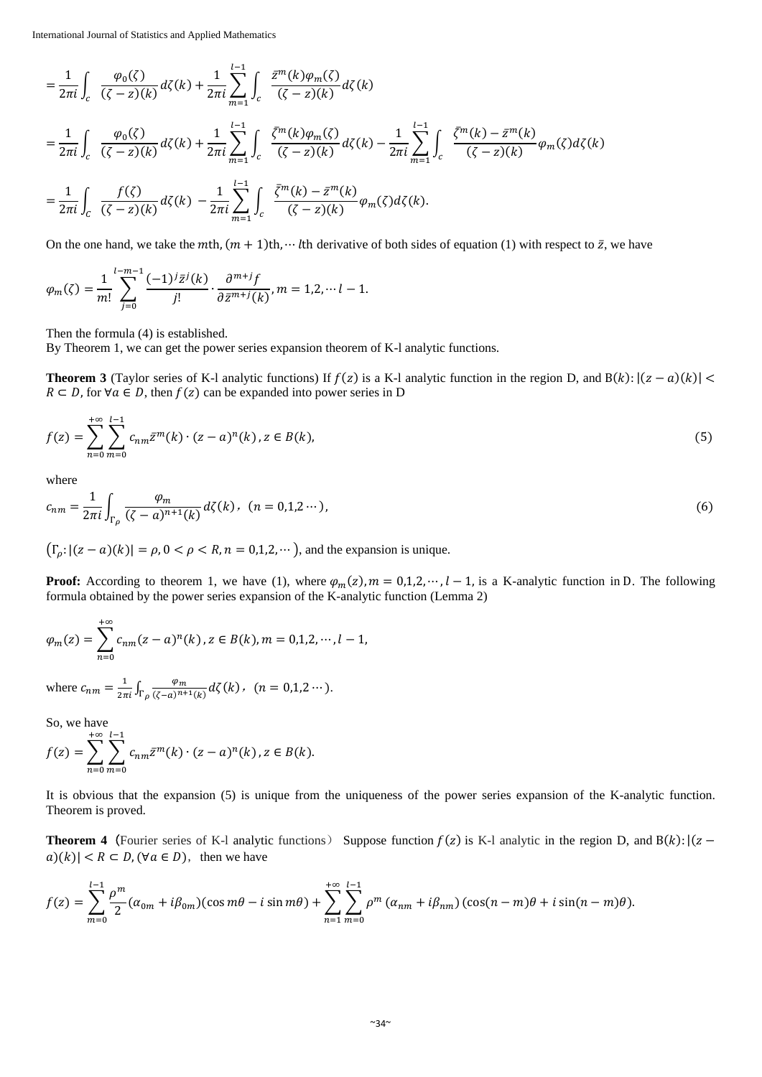International Journal of Statistics and Applied Mathematics

$$
= \frac{1}{2\pi i} \int_{c} \frac{\varphi_{0}(\zeta)}{(\zeta - z)(k)} d\zeta(k) + \frac{1}{2\pi i} \sum_{m=1}^{l-1} \int_{c} \frac{\bar{z}^{m}(k)\varphi_{m}(\zeta)}{(\zeta - z)(k)} d\zeta(k)
$$
  
\n
$$
= \frac{1}{2\pi i} \int_{c} \frac{\varphi_{0}(\zeta)}{(\zeta - z)(k)} d\zeta(k) + \frac{1}{2\pi i} \sum_{m=1}^{l-1} \int_{c} \frac{\bar{\zeta}^{m}(k)\varphi_{m}(\zeta)}{(\zeta - z)(k)} d\zeta(k) - \frac{1}{2\pi i} \sum_{m=1}^{l-1} \int_{c} \frac{\bar{\zeta}^{m}(k) - \bar{z}^{m}(k)}{(\zeta - z)(k)} \varphi_{m}(\zeta) d\zeta(k)
$$
  
\n
$$
= \frac{1}{2\pi i} \int_{c} \frac{f(\zeta)}{(\zeta - z)(k)} d\zeta(k) - \frac{1}{2\pi i} \sum_{m=1}^{l-1} \int_{c} \frac{\bar{\zeta}^{m}(k) - \bar{z}^{m}(k)}{(\zeta - z)(k)} \varphi_{m}(\zeta) d\zeta(k).
$$

On the one hand, we take the  $m$ th,  $(m + 1)$ th, … *I*th derivative of both sides of equation (1) with respect to  $\bar{z}$ , we have

$$
\varphi_m(\zeta) = \frac{1}{m!} \sum_{j=0}^{l-m-1} \frac{(-1)^j \bar{z}^j(k)}{j!} \cdot \frac{\partial^{m+j} f}{\partial \bar{z}^{m+j}(k)}, m = 1, 2, \dots, l-1.
$$

Then the formula (4) is established.

By Theorem 1, we can get the power series expansion theorem of K-l analytic functions.

**Theorem 3** (Taylor series of K-l analytic functions) If  $f(z)$  is a K-l analytic function in the region D, and  $B(k): |(z - a)(k)| <$  $R \subset D$ , for  $\forall a \in D$ , then  $f(z)$  can be expanded into power series in D

$$
f(z) = \sum_{n=0}^{+\infty} \sum_{m=0}^{l-1} c_{nm} \bar{z}^m(k) \cdot (z - a)^n(k), z \in B(k),
$$
 (5)

where

$$
c_{nm} = \frac{1}{2\pi i} \int_{\Gamma_{\rho}} \frac{\varphi_m}{(\zeta - a)^{n+1}(k)} d\zeta(k), \quad (n = 0, 1, 2 \cdots), \tag{6}
$$

 $(\Gamma_{\rho}: |(z-a)(k)| = \rho, 0 < \rho < R, n = 0,1,2,...)$ , and the expansion is unique.

**Proof:** According to theorem 1, we have (1), where  $\varphi_m(z)$ ,  $m = 0,1,2,\dots, l-1$ , is a K-analytic function in D. The following formula obtained by the power series expansion of the K-analytic function (Lemma 2)

$$
\varphi_m(z) = \sum_{n=0}^{+\infty} c_{nm}(z-a)^n(k), z \in B(k), m = 0,1,2,\dots, l-1,
$$

where  $c_{nm} = \frac{1}{2\pi i} \int_{\Gamma_\rho} \frac{\varphi_m}{(\zeta - a)^{n+1}}$  $\int_{\Gamma_{\rho}} \frac{\varphi_m}{(\zeta - a)^{n+1}(k)} d\zeta(k)$ ,  $(n = 0, 1, 2 \cdots).$ 

So, we have  $+\infty$   $l-1$ 

$$
f(z) = \sum_{n=0}^{+\infty} \sum_{m=0}^{l-1} c_{nm} \bar{z}^m(k) \cdot (z-a)^n(k), z \in B(k).
$$

It is obvious that the expansion (5) is unique from the uniqueness of the power series expansion of the K-analytic function. Theorem is proved.

**Theorem 4** (Fourier series of K-l analytic functions) Suppose function  $f(z)$  is K-l analytic in the region D, and B(k):  $|(z |a|(k)| < R \subset D$ ,  $(\forall a \in D)$ , then we have

$$
f(z) = \sum_{m=0}^{l-1} \frac{\rho^m}{2} (\alpha_{0m} + i\beta_{0m}) (\cos m\theta - i \sin m\theta) + \sum_{n=1}^{+\infty} \sum_{m=0}^{l-1} \rho^m (\alpha_{nm} + i\beta_{nm}) (\cos(n-m)\theta + i \sin(n-m)\theta).
$$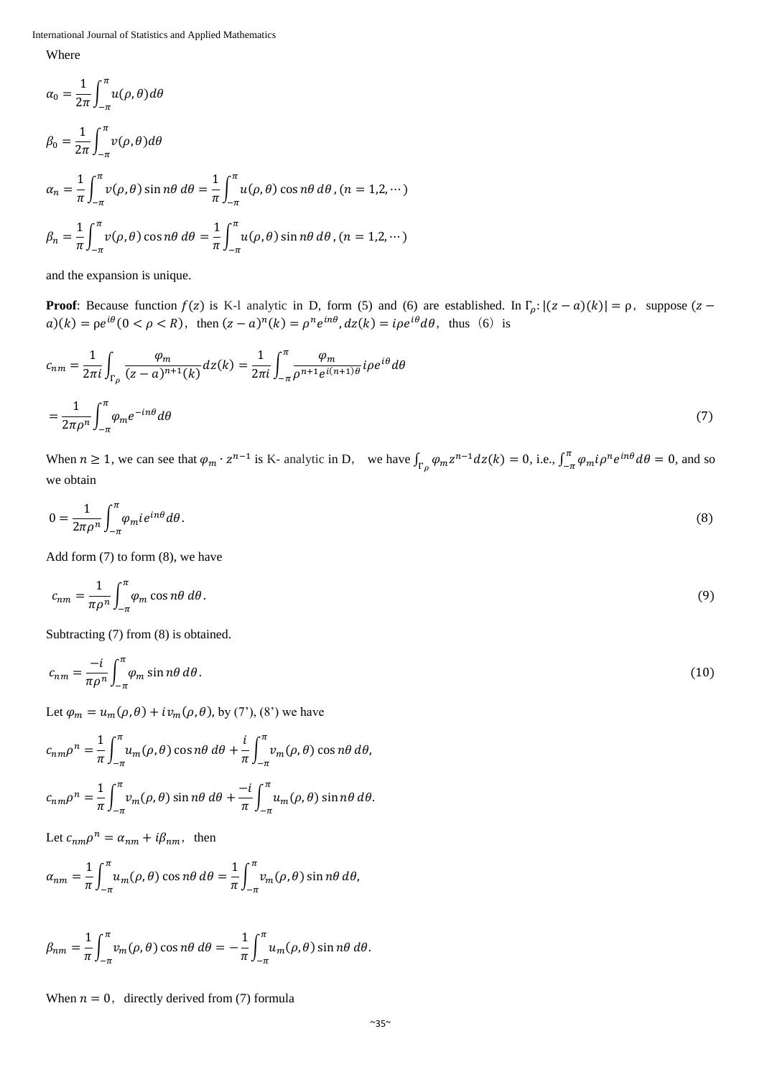International Journal of Statistics and Applied Mathematics

Where

$$
\alpha_0 = \frac{1}{2\pi} \int_{-\pi}^{\pi} u(\rho, \theta) d\theta
$$
  
\n
$$
\beta_0 = \frac{1}{2\pi} \int_{-\pi}^{\pi} v(\rho, \theta) d\theta
$$
  
\n
$$
\alpha_n = \frac{1}{\pi} \int_{-\pi}^{\pi} v(\rho, \theta) \sin n\theta d\theta = \frac{1}{\pi} \int_{-\pi}^{\pi} u(\rho, \theta) \cos n\theta d\theta, (n = 1, 2, \cdots)
$$
  
\n
$$
\beta_n = \frac{1}{\pi} \int_{-\pi}^{\pi} v(\rho, \theta) \cos n\theta d\theta = \frac{1}{\pi} \int_{-\pi}^{\pi} u(\rho, \theta) \sin n\theta d\theta, (n = 1, 2, \cdots)
$$

and the expansion is unique.

**Proof**: Because function  $f(z)$  is K-l analytic in D, form (5) and (6) are established. In  $\Gamma_{\rho}$ :  $|(z - a)(k)| = \rho$ , suppose ( $z$  $a)(k) = \rho e^{i\theta} (0 \lt \rho \lt R)$ , then  $(z - a)^n (k) = \rho^n e^{in\theta} dz(k) = i \rho e^{i\theta} d\theta$ , thus (6) is

$$
c_{nm} = \frac{1}{2\pi i} \int_{\Gamma_{\rho}} \frac{\varphi_m}{(z-a)^{n+1}(k)} dz(k) = \frac{1}{2\pi i} \int_{-\pi}^{\pi} \frac{\varphi_m}{\rho^{n+1} e^{i(n+1)\theta}} i\rho e^{i\theta} d\theta
$$

$$
= \frac{1}{2\pi \rho^n} \int_{-\pi}^{\pi} \varphi_m e^{-in\theta} d\theta \tag{7}
$$

When  $n \ge 1$ , we can see that  $\varphi_m \cdot z^{n-1}$  is K- analytic in D, we have  $\int_{\Gamma_\rho} \varphi_m z^{n-1} dz(k) = 0$ , i.e.,  $\int_{-\pi}^{\pi} \varphi_m i \rho^n e^{in\theta} d\theta = 0$ , and so we obtain

$$
0 = \frac{1}{2\pi\rho^n} \int_{-\pi}^{\pi} \varphi_m i e^{in\theta} d\theta. \tag{8}
$$

Add form  $(7)$  to form  $(8)$ , we have

$$
c_{nm} = \frac{1}{\pi \rho^n} \int_{-\pi}^{\pi} \varphi_m \cos n\theta \, d\theta. \tag{9}
$$

Subtracting (7) from (8) is obtained.

$$
c_{nm} = \frac{-i}{\pi \rho^n} \int_{-\pi}^{\pi} \varphi_m \sin n\theta \, d\theta. \tag{10}
$$

Let  $\varphi_m = u_m(\rho, \theta) + iv_m(\rho, \theta)$ , by (7'), (8') we have

$$
c_{nm}\rho^n = \frac{1}{\pi} \int_{-\pi}^{\pi} u_m(\rho, \theta) \cos n\theta \, d\theta + \frac{i}{\pi} \int_{-\pi}^{\pi} v_m(\rho, \theta) \cos n\theta \, d\theta,
$$
  

$$
= \frac{1}{\pi} \int_{-\pi}^{\pi} (u_m(\rho, \theta) - u_m(\rho, \theta)) \, d\theta + \frac{i}{\pi} \int_{-\pi}^{\pi} v_m(\rho, \theta) \cos n\theta \, d\theta,
$$

$$
c_{nm}\rho^n=\frac{1}{\pi}\int_{-\pi}^{\pi}v_m(\rho,\theta)\sin n\theta\,d\theta+\frac{-i}{\pi}\int_{-\pi}^{\pi}u_m(\rho,\theta)\sin n\theta\,d\theta.
$$

Let  $c_{nm}\rho^n = \alpha_{nm} + i\beta_{nm}$ , then

$$
\alpha_{nm} = \frac{1}{\pi} \int_{-\pi}^{\pi} u_m(\rho, \theta) \cos n\theta \, d\theta = \frac{1}{\pi} \int_{-\pi}^{\pi} v_m(\rho, \theta) \sin n\theta \, d\theta,
$$

$$
\beta_{nm} = \frac{1}{\pi} \int_{-\pi}^{\pi} v_m(\rho, \theta) \cos n\theta \, d\theta = -\frac{1}{\pi} \int_{-\pi}^{\pi} u_m(\rho, \theta) \sin n\theta \, d\theta.
$$

When  $n = 0$ , directly derived from (7) formula